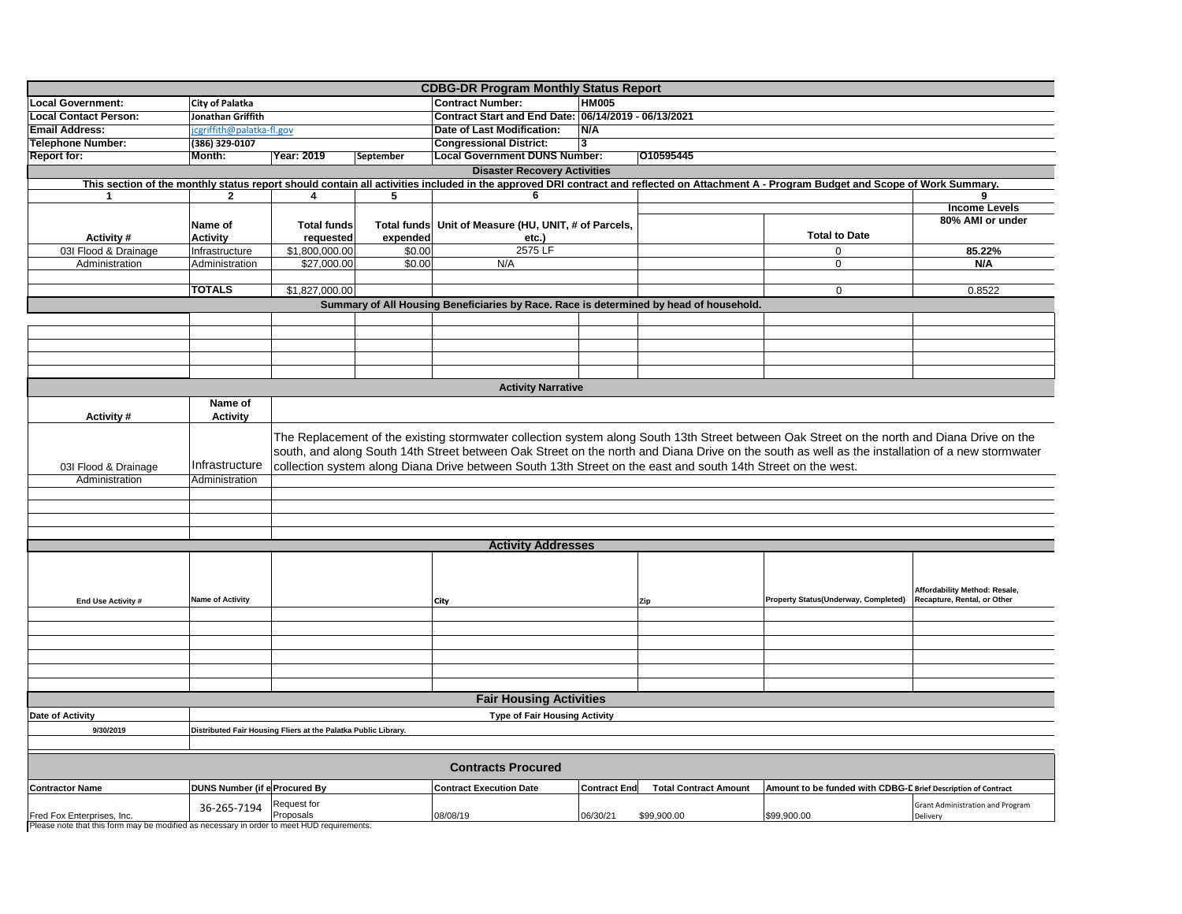| <b>CDBG-DR Program Monthly Status Report</b>                                                                                                                                            |                                                               |                                                                                                                                                 |                    |                                                      |                     |                              |                                                               |                                                              |  |
|-----------------------------------------------------------------------------------------------------------------------------------------------------------------------------------------|---------------------------------------------------------------|-------------------------------------------------------------------------------------------------------------------------------------------------|--------------------|------------------------------------------------------|---------------------|------------------------------|---------------------------------------------------------------|--------------------------------------------------------------|--|
| <b>Local Government:</b>                                                                                                                                                                | City of Palatka                                               |                                                                                                                                                 |                    | <b>Contract Number:</b>                              | <b>HM005</b>        |                              |                                                               |                                                              |  |
| <b>Local Contact Person:</b>                                                                                                                                                            | Jonathan Griffith                                             |                                                                                                                                                 |                    | Contract Start and End Date: 06/14/2019 - 06/13/2021 |                     |                              |                                                               |                                                              |  |
| <b>Email Address:</b>                                                                                                                                                                   | cgriffith@palatka-fl.gov                                      |                                                                                                                                                 |                    | Date of Last Modification:                           | N/A                 |                              |                                                               |                                                              |  |
| <b>Telephone Number:</b>                                                                                                                                                                | (386) 329-0107                                                |                                                                                                                                                 |                    | <b>Congressional District:</b>                       | 3                   |                              |                                                               |                                                              |  |
| <b>Report for:</b>                                                                                                                                                                      | Month:                                                        | Year: 2019                                                                                                                                      | September          | <b>Local Government DUNS Number:</b>                 |                     | 010595445                    |                                                               |                                                              |  |
| <b>Disaster Recovery Activities</b>                                                                                                                                                     |                                                               |                                                                                                                                                 |                    |                                                      |                     |                              |                                                               |                                                              |  |
| This section of the monthly status report should contain all activities included in the approved DRI contract and reflected on Attachment A - Program Budget and Scope of Work Summary. |                                                               |                                                                                                                                                 |                    |                                                      |                     |                              |                                                               |                                                              |  |
| 1                                                                                                                                                                                       | $\mathbf{2}$                                                  | 4                                                                                                                                               | 5                  | 6                                                    |                     |                              |                                                               | 9                                                            |  |
|                                                                                                                                                                                         |                                                               |                                                                                                                                                 |                    |                                                      |                     |                              |                                                               | <b>Income Levels</b>                                         |  |
|                                                                                                                                                                                         | Name of                                                       | <b>Total funds</b>                                                                                                                              |                    | Unit of Measure (HU, UNIT, # of Parcels,             |                     |                              |                                                               | 80% AMI or under                                             |  |
|                                                                                                                                                                                         |                                                               |                                                                                                                                                 | <b>Total funds</b> |                                                      |                     |                              | <b>Total to Date</b>                                          |                                                              |  |
| Activity#                                                                                                                                                                               | <b>Activity</b>                                               | requested                                                                                                                                       | expended           | etc.)                                                | 2575 LF             |                              |                                                               |                                                              |  |
| 03I Flood & Drainage                                                                                                                                                                    | Infrastructure                                                | \$1,800,000.00                                                                                                                                  | \$0.00             |                                                      |                     |                              | 0                                                             | 85.22%                                                       |  |
| Administration                                                                                                                                                                          | Administration                                                | \$27.000.00                                                                                                                                     | \$0.00             | N/A                                                  |                     |                              | 0                                                             | N/A                                                          |  |
|                                                                                                                                                                                         |                                                               |                                                                                                                                                 |                    |                                                      |                     |                              |                                                               |                                                              |  |
|                                                                                                                                                                                         | <b>TOTALS</b>                                                 | \$1,827,000.00                                                                                                                                  |                    |                                                      |                     |                              | $\Omega$                                                      | 0.8522                                                       |  |
| Summary of All Housing Beneficiaries by Race. Race is determined by head of household.                                                                                                  |                                                               |                                                                                                                                                 |                    |                                                      |                     |                              |                                                               |                                                              |  |
|                                                                                                                                                                                         |                                                               |                                                                                                                                                 |                    |                                                      |                     |                              |                                                               |                                                              |  |
|                                                                                                                                                                                         |                                                               |                                                                                                                                                 |                    |                                                      |                     |                              |                                                               |                                                              |  |
|                                                                                                                                                                                         |                                                               |                                                                                                                                                 |                    |                                                      |                     |                              |                                                               |                                                              |  |
|                                                                                                                                                                                         |                                                               |                                                                                                                                                 |                    |                                                      |                     |                              |                                                               |                                                              |  |
|                                                                                                                                                                                         |                                                               |                                                                                                                                                 |                    |                                                      |                     |                              |                                                               |                                                              |  |
| <b>Activity Narrative</b>                                                                                                                                                               |                                                               |                                                                                                                                                 |                    |                                                      |                     |                              |                                                               |                                                              |  |
|                                                                                                                                                                                         | Name of                                                       |                                                                                                                                                 |                    |                                                      |                     |                              |                                                               |                                                              |  |
| Activity#                                                                                                                                                                               | <b>Activity</b>                                               |                                                                                                                                                 |                    |                                                      |                     |                              |                                                               |                                                              |  |
|                                                                                                                                                                                         |                                                               |                                                                                                                                                 |                    |                                                      |                     |                              |                                                               |                                                              |  |
|                                                                                                                                                                                         |                                                               | The Replacement of the existing stormwater collection system along South 13th Street between Oak Street on the north and Diana Drive on the     |                    |                                                      |                     |                              |                                                               |                                                              |  |
|                                                                                                                                                                                         |                                                               | south, and along South 14th Street between Oak Street on the north and Diana Drive on the south as well as the installation of a new stormwater |                    |                                                      |                     |                              |                                                               |                                                              |  |
| 03I Flood & Drainage                                                                                                                                                                    | Infrastructure                                                | collection system along Diana Drive between South 13th Street on the east and south 14th Street on the west.                                    |                    |                                                      |                     |                              |                                                               |                                                              |  |
| Administration                                                                                                                                                                          | Administration                                                |                                                                                                                                                 |                    |                                                      |                     |                              |                                                               |                                                              |  |
|                                                                                                                                                                                         |                                                               |                                                                                                                                                 |                    |                                                      |                     |                              |                                                               |                                                              |  |
|                                                                                                                                                                                         |                                                               |                                                                                                                                                 |                    |                                                      |                     |                              |                                                               |                                                              |  |
|                                                                                                                                                                                         |                                                               |                                                                                                                                                 |                    |                                                      |                     |                              |                                                               |                                                              |  |
|                                                                                                                                                                                         |                                                               |                                                                                                                                                 |                    |                                                      |                     |                              |                                                               |                                                              |  |
|                                                                                                                                                                                         |                                                               | <b>Activity Addresses</b>                                                                                                                       |                    |                                                      |                     |                              |                                                               |                                                              |  |
|                                                                                                                                                                                         |                                                               |                                                                                                                                                 |                    |                                                      |                     |                              |                                                               |                                                              |  |
|                                                                                                                                                                                         |                                                               |                                                                                                                                                 |                    |                                                      |                     |                              |                                                               |                                                              |  |
|                                                                                                                                                                                         |                                                               |                                                                                                                                                 |                    |                                                      |                     |                              |                                                               |                                                              |  |
| End Use Activity #                                                                                                                                                                      | <b>Name of Activity</b>                                       |                                                                                                                                                 |                    | City                                                 |                     | Zip                          | Property Status(Underway, Completed)                          | Affordability Method: Resale,<br>Recapture, Rental, or Other |  |
|                                                                                                                                                                                         |                                                               |                                                                                                                                                 |                    |                                                      |                     |                              |                                                               |                                                              |  |
|                                                                                                                                                                                         |                                                               |                                                                                                                                                 |                    |                                                      |                     |                              |                                                               |                                                              |  |
|                                                                                                                                                                                         |                                                               |                                                                                                                                                 |                    |                                                      |                     |                              |                                                               |                                                              |  |
|                                                                                                                                                                                         |                                                               |                                                                                                                                                 |                    |                                                      |                     |                              |                                                               |                                                              |  |
|                                                                                                                                                                                         |                                                               |                                                                                                                                                 |                    |                                                      |                     |                              |                                                               |                                                              |  |
|                                                                                                                                                                                         |                                                               |                                                                                                                                                 |                    |                                                      |                     |                              |                                                               |                                                              |  |
|                                                                                                                                                                                         |                                                               |                                                                                                                                                 |                    |                                                      |                     |                              |                                                               |                                                              |  |
| <b>Fair Housing Activities</b>                                                                                                                                                          |                                                               |                                                                                                                                                 |                    |                                                      |                     |                              |                                                               |                                                              |  |
| <b>Date of Activity</b>                                                                                                                                                                 | <b>Type of Fair Housing Activity</b>                          |                                                                                                                                                 |                    |                                                      |                     |                              |                                                               |                                                              |  |
| 9/30/2019                                                                                                                                                                               | Distributed Fair Housing Fliers at the Palatka Public Library |                                                                                                                                                 |                    |                                                      |                     |                              |                                                               |                                                              |  |
|                                                                                                                                                                                         |                                                               |                                                                                                                                                 |                    |                                                      |                     |                              |                                                               |                                                              |  |
|                                                                                                                                                                                         |                                                               |                                                                                                                                                 |                    |                                                      |                     |                              |                                                               |                                                              |  |
| <b>Contracts Procured</b>                                                                                                                                                               |                                                               |                                                                                                                                                 |                    |                                                      |                     |                              |                                                               |                                                              |  |
| <b>Contractor Name</b>                                                                                                                                                                  | <b>DUNS Number (if e Procured By</b>                          |                                                                                                                                                 |                    | <b>Contract Execution Date</b>                       | <b>Contract End</b> | <b>Total Contract Amount</b> | Amount to be funded with CDBG-D Brief Description of Contract |                                                              |  |
|                                                                                                                                                                                         |                                                               |                                                                                                                                                 |                    |                                                      |                     |                              |                                                               |                                                              |  |
| Fred Fox Enterprises, Inc.                                                                                                                                                              | 36-265-7194                                                   | Request for<br>Proposals                                                                                                                        |                    | 08/08/19                                             | 06/30/21            | \$99,900.00                  | \$99,900.00                                                   | <b>Grant Administration and Program</b><br>Delivery          |  |
|                                                                                                                                                                                         |                                                               |                                                                                                                                                 |                    |                                                      |                     |                              |                                                               |                                                              |  |

Please note that this form may be modified as necessary in order to meet HUD requirements.